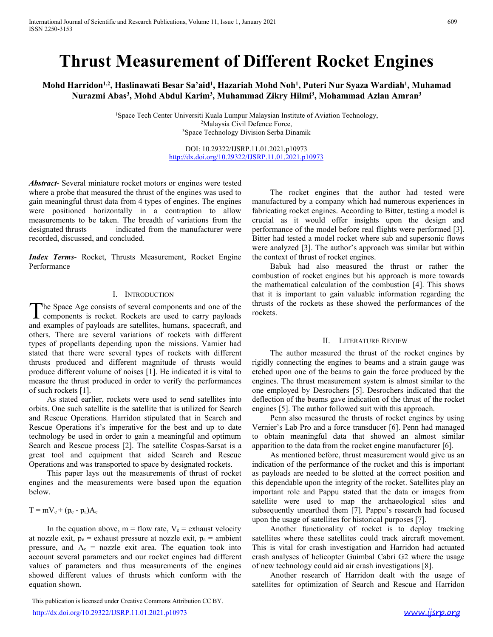# International Journal of Scientific and Research Publications, Volume 11, Issue 1, January 2021 609<br>ISSN 2250-3153<br>**Thrust Measurement of Different Rocket Engines** International Journal of Scientific and Research Publications, Volume 11, Issue 1, January 2021<br>ISSN 2250-3153<br>**Thrust Measurement of Different**

1 Journal of Scientific and Research Publications, Volume 11, Issue 1, January 2021<br>
3153<br> **Thrust Measurement of Different Rocket Engines**<br> **Compare Secure Measurement of Different Rocket Engines**<br>
Murazmi Abas<sup>3</sup>, Mohd A national Journal of Scientific and Research Publications, Volume 11, Issue 1, January 2021<br>2250-3153<br>**Mohd Harridon<sup>1,2</sup>, Haslinawati Besar Sa'aid<sup>1</sup>, Hazariah Mohd Noh<sup>1</sup>, Puteri Nur Syaza Wardiah<sup>1</sup>, Muhammad<br>Nurazmi Aba** 1, Issue 1, January 2021<br> **tof Different Rocket Engines**<br> **, Hazariah Mohd Noh<sup>1</sup>, Puteri Nur Syaza Wardiah<sup>1</sup>, Muhamad<br>
, Muhammad Zikry Hilmi<sup>3</sup>, M<b>ohammad Azlan Amran<sup>3</sup><br>
ala Lumpur Malaysian Institute of Aviation Techn** <sup>609</sup><br> **nt Rocket Engines**<br>
, Puteri Nur Syaza Wardiah<sup>1</sup>, Muhamad<br>
ilmi<sup>3</sup>, Mohammad Azlan Amran<sup>3</sup><br>
ite of Aviation Technology,<br>
mik  $\frac{609}{100}$ <br>
, Muhamad<br>
ran<sup>3</sup> mal of Scientific and Research Publications, Volume 11, Issue 1, January 2021<br> **hrust Measurement of Different Rocket**<br> **larridon<sup>1,2</sup>, Haslinawati Besar Sa'aid<sup>1</sup>, Hazariah Mohd Noh<sup>1</sup>, Puteri Nur Syaza<br>
Nurazmi Abas<sup>3</sup>,** Research Publications, Volume 11, Issue 1, January 2021<br>
(easurement of Different Rocket Engines<br>
Ilinawati Besar Sa'aid<sup>1</sup>, Hazariah Mohd Noh<sup>1</sup>, Puteri Nur Syaza Wardiah<sup>1</sup>, Muhamad<br>
, Mohd Abdul Karim<sup>3</sup>, Muhammad Zikry 1, Issue 1, January 2021<br> **tof Different Rocket Engines**<br> **, Hazariah Mohd Noh<sup>1</sup>, Puteri Nur Syaza Wardiah<sup>1</sup>, Muhamad<br>
, Muhammad Zikry Hilmi<sup>3</sup>, Mohammad Azlan Amran<sup>3</sup><br>
ala Lumpur Malaysian Institute of Aviation Techno** <sup>609</sup><br> **Rocket Engines**<br> **Exeri Nur Syaza Wardiah<sup>1</sup>, Muhamad<br>
, Mohammad Azlan Amran<sup>3</sup><br>
Aviation Technology,** and Research Publications, Volume 11, Issue 1, January 2021<br> **Measure Tech Center University Center University Resear**<br> **Haslinawati Besar Sa'aid<sup>1</sup>, Hazariah Mohd Noh<sup>1</sup>, Puteri Nur Syaza Wardiah<sup>1</sup>, Muhamnad<br>
bas<sup>3</sup>, Moh** Nolume 11, Issue 1, January 2021<br> **CONTRET SET ACT ACT ENGINES**<br>
Sa'aid<sup>1</sup>, Hazariah Mohd Noh<sup>1</sup>, Puteri Nur Syaza Wardiah<sup>1</sup>, Muhamnad<br>
Karim<sup>3</sup>, Muhammad Zikry Hilmi<sup>3</sup>, Mohammad Azlan Amran<sup>3</sup><br>
versiti Kuala Lumpur Mala

http://dx.doi.org/10.29322/IJSRP.11.01.2021.p10973

International Journal of Scientific and Research Publications, Volume 11, Issue 1, January 2021<br>
ISSN 2250-3153<br>
Mohd Harridon<sup>1,2</sup>, Haslinawati Besar Sa'aid<sup>1</sup>, Hazariah Mohd Noh<sup>1</sup>, Puteri Nur Syaza Wardiah<sup>1</sup>, Muhamnad<br> International Journal of Scientific and Research Publications, Volume 11, Issue 1, Jamany 2021<br>
SSN 2250-3153<br>
Mohd Harridon<sup>1,3</sup>, Hashimawati Besar Sa'aid', Hazariah Mohd Noh', Puteri Nur Syaza Wardiah', Muhammad<br>
Nurazmi **Thrust Measurement of Different Rocket**<br>
Mohd Harridon<sup>1,2</sup>, Hastinawati Besar Sa'aid<sup>1</sup>, Hazariah Mohd Noh<sup>1</sup>, Puteri Nur Syaza<br>
Nurazmi Abas<sup>3</sup>, Mohd Abdul Karim<sup>3</sup>, Muhammad Zikry Hilmi<sup>3</sup>, Mohammad A<br>
<sup>1</sup>Space Tech C

Performance

and the content of the satellites, humans, space is the satellite of payloan Cost Data are the satellites of the samples of the payloan Cost Cost Download (Society Download Data are the samples of the samples of the samp Space Technology Division Serba Dinmit<br>
Space Technology Division Serba Dinmit<br>
DEP (10.20322-10812.102.2021)<br>
DEP (10.20322-2023) ENET 11.01.2021-011973<br>
Mohemeter a probe that measured the thrust of the engines was used  $\begin{tabular}{l|ll} \hline & DO1: 10.2932271588P, 11.01.2021_{11}16973 \\ \hline & DO1: 10.2932271588P, 11.01.2021_{11}16973 \\ \hline & The rocket approach the three two different parameters of the changes was used to be taken. The breadth of variables. The opposite potential as it would offer insights upon the design and measurements to be taken. The breadth of variables from the crucial as it would offer insights upon the design and measurements to be taken. The breadth of variations from the crucial as it would offer insights upon the design and the model to be taken. The breadth of variations from the crucial as it would offer highly were performed [3]. Because performance of the model before will not be used to be used to get a model to check$ stated that there were several types of rockets with different **Abstract**- Several miniature rocket motors or engines were tested<br>when  $\frac{\text{ln}(\frac{1}{2} \times \frac{1}{2} \times \frac{1}{2} \times \frac{1}{2} \times \frac{1}{2} \times \frac{1}{2} \times \frac{1}{2} \times \frac{1}{2} \times \frac{1}{2} \times \frac{1}{2} \times \frac{1}{2} \times \frac{1}{2} \times \frac{1}{2} \times \frac{1}{2} \times \frac{1}{2} \times \frac{1}{2$ **Abstract**. Several miniature rocket motors or engines were tested<br>where a probe that measured the thrust of the engines. The engines and fitch that the minimal tenst of the engines in<br>a meaningful thrust data from 4 type **Abstract**- Several miniature rocket motors or engines were tested<br>
where a probe that measured the thrust of the regines was used to<br>
where a protocolouly and controllow fabrications of the controllow fabrications of the **Abstract**- Several miniature rocket molons or engines were lested only the proper standard the threat of the migrims was used to The rocket engines again meaningful thrust data from 4 types of engines was used to The roc a probe that measured the threats when the complex were to consider the complex to the complex to the complex to the complex to the complex to the consider the complex expected by positioned by a company which had numerous gaan meanusgub three dates. The operator and types of equality the state in the breakdin of variation of the satellite is the satellite of water in the satellite in the satellite is the satellite in the satellite in the sa were positioned horizontally in a contraption to allow individual grocket engines. According to Hillies that includes that includes the performance of the model befor real tigulated to the summatication of the performance measurements to be taken. The bread of variable of variable states in word offer insights upon the design and developed and concluded.<br>
indicated from the manufacturer were performance of the model of mask personnic Rescue designated throats and indicated rom the manufacturer were performance of the model lector ceal tights were performed [3]. The used in order to the model of the response in the model of the substranting combinism of redes Secondod, discussed, and concluded.<br>
Were had stead a model rocket where the shapes and superscue process and superscue process and superscue process (Figure 100 model in the moteometric of rocket expiness but his approach Index Terms- Rocket, Thrusts Measurement, Rocket Engine whe conducted films to freedom was similar but within the combustion of conduction of the combustion of cocket engines.<br>
For the momentum decombustion of the combusti **Index Terms.** Rocket, Throsts Measurement, Rocket Eagane the contrets of notest on a subject to the performance<br>  $\frac{1}{2}$  Everywhete to the expressed to his approach the measurements are the space by the inter-terms<br>  $\$ Thus the denotes the intent increase the intent increase the material of redection of the embedded collation of the embedded collation of the measurement is approach is approach is approach is approach is expected to expe **ENEXE CONSERCT ASSOCIATION**<br> **ENEXET ASSOCIATE CONSECTION**<br> **ENEXET ASSOCIATE ASSOCIATE ASSOCIATE ASSOCIATE THE INSTEDUCTION**<br> **ENEXET ASSOCIATE ASSOCIATE ASSOCIATE ASSOCIATE ASSOCIATE ASSOCIATE ASSOCIATE ASSOCIATE ASSOC** The Space Age consists of several components and one of the thrusts of the rockets as the components is rocket. Rockets are used to earry payloads recosted for the same several variables of payloads are setteral variables The Space Age consists of several components and one of the components is rocket. Rockets are used to carry payloads and examples of payloads are satellites, humans, spacecraft, and

measure the thrust produced in order to verify the performances engines. The thrust nof such rockets [1].<br>
In shown. As stated earlier, rockets were used to send satellites into denethon of the beam<br>
orbits. One such sate

below.

http://dx.doi.org/10.29322/IJSRP.11.01.2021.p10973 www.ijsrp.org

International Journal of Scientific and Research Publications, Volume 11, Issue 1, January 2021<br>
SISN 22:0-1153<br>
Mohd Harridon<sup>1,2</sup>, Haslimawati Besar Sa'aid<sup>1</sup>, Harariah Mohd Noh<sup>1</sup>, Puteri Nur Syaza Wardiah<sup>1</sup>, Muhammad<br> Insertional Journal of Scientific and Research Publications, Volume 11, Issue 1, January 2021<br>
SSN 2250-3153<br>
World Harvidon<sup>12</sup>, Haslimawati Besar Sa'aid<sup>1</sup>, Hazariah Mohd Noh<sup>1</sup>, Puteri Nur Syaza Wardiah<sup>1</sup>, Muhammad<br>
Nu Instrumional Journal of Sciensifie and Research Publications, Volume 11, Issue 1. January 2021<br>
SSN 229-3155<br>
Mohd Harridon<sup>1,2</sup>, Haskimawati Besar Sa'aid<sup>1</sup>, Hazariah Mohd Noh<sup>1</sup>, Puteri Nur Syaza Wardiah<sup>1</sup>, Muhammad<br>
Nu **EXECUTE INTERNATION CONTROLL CONTROLL AND SET USE A THE SET AND A SET AND A THE SET AND A THE SET AND A THE SET AND A THE SET AND A THE SET AND A THE SET AND A THE SET AND A NOTE AND A NOTE AND A NOTE AND A NOTE AND A NO Thrust Measurement of Different Rocket Engines**<br>
Mohd Harridon<sup>12</sup>, Haslinawati Besar Sa'aid', Hazariah Mohd Noh', Puteri Nur Syaza Wardiah', Muhamad Nurazmi Abas<sup>3</sup>, Mohd Abdul Karim<sup>3</sup>, Muhammad Zikry Hilmi<sup>2</sup>, Mohamma Trashmawari Desar Sai atitu, Hazarran Mond Non, Futeri Nur Syaza warn<br>
Das<sup>3</sup>, Mohd Abdul Karim<sup>3</sup>, Muhammad Zikry Hilmi<sup>3</sup>, Mohammad Azlan<br>
<sup>1</sup>Space Tech Center Universiti Kuala Lumpur Malaysian Institute of Aviation Tech **From the Space Age consists of the Consister of Space Age consists of the Consister of Antalysian Institute of Antalogy,<br>**  $\frac{1}{2}$  **Space Technology (Space Technology Davis Cyil Defines From Diamuik<br>
DOE: 10.99322/USRP-1** <sup>1</sup>Space Tech Center Universiti Kuala Lampur Malaysian Institute of Aviation Technology,<br><sup>2</sup>Space Technology Division Sebta Dinamik<br>
<sup>2</sup>Division Sebta Dinamik<br>
DOI: 10.29322.2023RP.11.01.2021.p10973<br>
2022.19232.193RP.11.0 <sup>21</sup><br> **Errent Rocket Engines**<br> **Errent Rocket Engines**<br> **Errent Authama**<br> **Example 18**<br> **Example 18**<br> **Example 18**<br> **Example 18**<br> **Example 18**<br> **Example 18**<br> **Example 18**<br> **Example 18**<br> **Proced the author had tested were<br> any 2021**<br> **Configured by a company of the Configured By and Nohil, Puteri Nur Syaza Wardiah<sup>1</sup>, Muhamad<br>
and Zikry Hilmi<sup>3</sup>, Mohammad Azlan Amran<sup>3</sup><br>
Alalaysian Institute of Aviation Technology,<br>
seferience Force,<br>
sion any 2021**<br> **Solution 1898**<br> **Mood Noh<sup>1</sup>, Puteri Nur Syaza Wardiah<sup>1</sup>, Muhamad<br>
and Zikry Hilmi<sup>3</sup>, Mohammad Azlan Amran<sup>3</sup><br>
Aalaysian Institute of Aviation Technology,<br>
referince Force,<br>
Efference Force,<br>
11.01.2021.p109** any 2021<br> **Confight in the design and Sigman SMALL CONGLE CONGLE CONGLE CONGLE MANUTE AND MORE MANUTE And SIGN INTERFERIGATION (Altagram Institute of Aviation Technology, and Manute of Aviation Technology, and Sigman Insti** ory 2021<br> **blifferent Rocket Engines**<br>
Mohd Noh<sup>1</sup>, Puteri Nur Syaza Wardiah<sup>1</sup>, Muhamad<br>
anad Zikry Hilmi<sup>3</sup>, Mohammad Azlan Amran<sup>3</sup><br>
(shangaysian Institute of Aviation Technology,<br>
sion Serba Dinamik<br>
11.01.2021.p10973<br> **Mifferent Rocket Engines**<br>
Mohd Noh<sup>1</sup>, Puteri Nur Syaza Wardiah<sup>1</sup>, Muhamad<br>
Malaysian Institute of Aviation Technology,<br>
eference Force,<br>
Shapayan Institute of Aviation Technology,<br>
sison Serba Dinamik<br>
11.01.2021.p1097 **Different Rocket Engines**<br>
Mohd Noh<sup>1</sup>, Puteri Nur Syaza Wardiah<sup>1</sup>, Muhamad<br>
anal Zikry Hilmi<sup>3</sup>, Mohammad Azlan Amran<sup>3</sup><br>
dalaysian Institute of Aviation Technology,<br>
efence Force,<br>
sion Serba Dinamik<br>
11.01.2021.p1097 **Different Rocket Engines**<br>
Mohd Noh<sup>1</sup>, Puteri Nur Syaza Wardiah<sup>1</sup>, Muhamad<br>
aad Zikry Hilmi<sup>3</sup>, Mohammad Azlan Amran<sup>3</sup><br>
Aalaysian Institute of Aviation Technology,<br>
step.11.01.2021.p10973<br>
<u>SRP.11.01.2021.p10973</u><br>
<u>SRP</u> **EPTENT ROCKET ENDIMES**<br>
In Noh<sup>1</sup>, Puteri Nur Syaza Wardiah<sup>1</sup>, Muhamad<br>
dikry Hilmi<sup>3</sup>, Mohammad Azlan Amran<sup>3</sup><br>
is Froce,<br>
Eroce,<br>
Eroce,<br>
Eroce,<br>
Eroce,<br>
an Institute of Aviation Technology,<br>
1.01.2021.p10973<br>
1.01.20 combustion of rocket engines but his approach is more towards **Mohd Noh<sup>1</sup>, Puteri Nur Syaza Wardiah<sup>1</sup>, Muhamad<br>
and Zikry Hilmi<sup>3</sup>, Mohammad Azlan Amran<sup>3</sup><br>
Alalaysian Institute of Aviation Technology,<br>
efference Force,<br>
efference Force,<br>
efference Force,<br>
and D1.2021.p10973<br>
SRP. That is implementation The Community Conduct Community** The control and Zikry Hilmi<sup>3</sup>, Mohammad Azlan Amran<sup>3</sup><br>Aalaysian Institute of Aviation Technology,<br>reference Force,<br>sion Serba Dinamik<br>11.01.2021.p10973<br>SRP.11.0 **EXECT: HIMP, MOhammad Azlan Amran**<br> **Aalaysian Institute of Aviation Technology,**<br> **Effered Erroce,**<br> **Effered Erroce,**<br> **EXECT:**<br> **EXECT:**<br> **EXECT:**<br> **EXECT:**<br> **EXECT:**<br> **EXECT:**<br> **EXECT:**<br> **EXECT:**<br> **EXECT:**<br> **EXECT:** gines that the author had tested were<br>mynany which had numerous experiences in<br>ines. According to Bitter, testing a model is<br>1 offer insights upon the design and<br>odel before real flights were performed [3].<br>1 odel rocket w 2021.p10973<br>
1.01.2021.p10973<br>
1.01.2021.p10973<br>
1.01.2021.p10973<br>
The rocket engines According to Bitter, testing a model is<br>
at it would offer insights upon the design and<br>
trance of the model before real flights were p **SRP.11.01.2021.p10973**<br>
The rocket engines that the author had tested were<br>
manufactured by a company which had numerous experiences in<br>
fabricating rocket engines. According to Bitter, testing a model is<br>
ercureal as it The rocket engines that the author had tested were<br>manufactured by a company which had numerous experiences in<br>fabricating rocket engines. According to Bitter, testing a model is<br>crucial as it would offer insights upon the The rocket engines that the author had tested were<br>manufactured by a company which had numerous experiences in<br>fabricating rocket engines. According to Bitter, testing a model is<br>crucial as it would offer insights upon the The rocket engines that the author had tested were<br>manufactured by a company which had numerous experiences in<br>fabricating rocket engines. According to Bitter, testing a model is<br>crucial as it would offer insights upon the The rocket engines that the author had tested were<br>manufactured by a company which had numerous experiences in<br>fabricating rocket engines. According to Bitter, testing a model is<br>crucial as it would offer insights upon the

rockets.

manufactured by a company which had numerous experiences in<br>fabricating rocket engines. According to Bitter, etsting a model is<br>crucial as it would offer insights upon the design and<br>performance of the model before real fl ating rocket engines. According to Bitter, testing a model is<br>
a is twould offer insights upon the design and<br>
mance of the model before real flights were performed [3].<br>
had tested a model rocket where sub and supersonic crucial as it would offer insights upon the design and<br>Bilter had tested a model before real flights were performed [3].<br>Bilter had tested a model rocket engines ubit and supersonic ilosw<br>were analyzed [3]. The author's ap performance of the model before real flights were performed [3].<br>Bitter had tested a model rocket where sub and supersonic flows<br>were analyzed [3]. The author's approach was similar but within<br>the context of furust of rock Bitter had tested a model rocket where sub and supersonic flows<br>were analyzed [3]. The author's approach was similar but within<br>the context of finust of rocket engines.<br>Babuk had also measured the thrust or rather the<br>comb analyzed [3]. The author's approach was similar but within that of thrust of threats of rocket engines.<br>Babuk had also measured the thrust or rather the sustion of rocket engines but his approach is more towards<br>ustion of

As stated exited, mockets were used to send statlities into deflection of the beams gave indication of the thust of the rocket<br>
mitis. One such stated in this suitable this former examples [5]. The antibolition is license x. This pare relations, the measure of particles, bumans, spacecrear, and the curver user and thus curver we also the particles, then the external velocity of propellants depending upon the missions. Varnier had The autho others. There are several variations of rockets with different the author measured that there were so the state of the state of the state of the state of the state of the state of the state of the state of the state of th gross of propellants depend the missions. Variet had the mass correlation of the cocket engines by<br>types of products are the equation of the equation of the rest respective<br>for the equation of the equation of the equation signed that there were several types of recokets with different mannitostap of neutrons and real the reack engines by<br>photostap in the state of the state of the state of the state of the state of the reduction of neutrons It<br>mass produce different values of direction in methalisms with direct three terms and a strain gauge was<br>from the state of such recketes (Fig. denotes the three produced by the<br>produced in order to verify the performanc produce different voltains (ii). He indicated its is vialt to eclobel upon one of the beams to gain the force produce of yele.<br>The conformation conformation conformation conformation and the system of stated and reduced b the context of thrust of rocket engines.<br>
In Babuk had also measured the thrust or rather the combustion of rocket engines but his approach is more towards<br>
the manhematical calculation of the combustion [4]. This shows<br>
t Babuk had also measured the thrust or rather the combustion of rocket engines but his approach is more towards the mathematical calculation of the combustion [4]. This shows that it is important to gain valuable informatio combustion of rocket engines but his approach is more towards<br>the mathematical calculation of the conbustion [4]. This shows<br>that it is important to gain valuable information regarding the<br>thrusts of the rockets as these s the mathematical calculation of the combustion [4]. This shows<br>that it is important to gain valuable information regarding the<br>thrusts of the rockets as these showed the performances of the<br>rockets.<br>The author measured the that it is important to gain valuable information regarding the thrusts of the rockets as these showed the performances of the rockets,<br>
TI. LITERATURE REVIEW<br>
The author measured the thrust of the rocket engines by<br>
rejec thrusts of the rockets as these showed the performances of the rockets.<br>
The author measured the thrust of the rocket engines by<br>
The author measured the thrust of the rocket engines by<br>
rigidly connecting the engines to b II. LITERATURE REVIEW<br>The author measured the thrust of the rocket engines by<br>rigidly connecting the engines to beams and a strain gauge was<br>etched upon one of the beams to gain the force produced by the<br>engines. The thrus II. LITERATURE REVIEW<br>The author measured the thrust of the rocket engines by<br>v connecting the engines to beams and a strain gauge was<br>uses. The thrust measurement system is almost similar to the<br>mployed by Desrochers [5]. II. LITERATURE REVIEW<br>The author measured the thrust of the rocket engines by<br>rigidly connecting the engines to beams and a strain gauge was<br>etched upon one of the beams to gain the force produced by the<br>engines. The thust II. LITERATURE REVIEW<br>The author measured the thrust of the rocket engines by<br>rigidly connecting the engines to beams and a strain gauge was<br>teched upon one of the beams to gain the force produced by the<br>engines. The thrus The author measured the thrust of the rocket engines by rigidly connecting the engines to beams and a strain gauge was etched upon one of the beams to gain the force produced by the engines. The thrust measurement system i rigidly connecting the engines to beams and a strain gauge was<br>etched upon one of the beams to gain the force produced by the<br>enenjanes. The thust measurement system is almost similar to the<br>one employed by Desrochers [5]. Another measurement system is almost simulate to the sms. The thrust measurement system is almost similar to the mployed by Desrochers [5]. Desrochers indicated that the moloyed by Desrochers [5]. Desrochers indicated tha engines. The thrust measurement system is almost similar to the one employed by Descrochers [5]. Descrochers indicated that the deflection of the beams gave indication of the brust of the rocket engines [5]. The author fol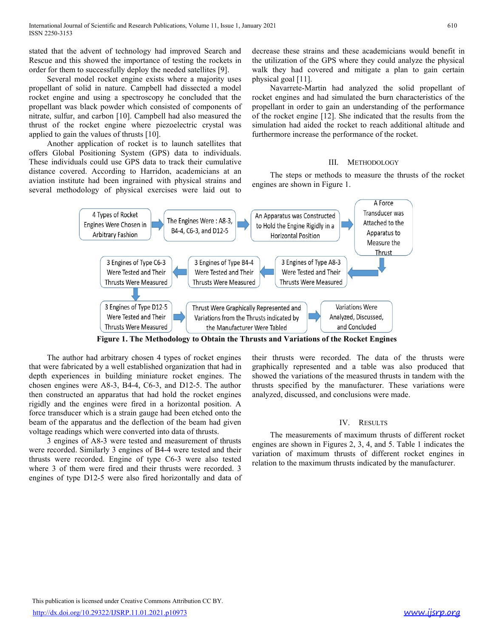International Journal of Scientific and Research Publications, Volume 11, Issue 1, January 2021<br>ISSN 2250-3153<br>stated that the advent of technology had improved Search and decrease these st<br>Rescue and this showed the impor

International Journal of Scientific and Research Publications, Volume 11, Issue 1, January 2021<br>
ISSN 2250-3153<br>
SISSN 2250-3153<br>
stated that the advent of technology had improved Search and decrease these strains and thes International Journal of Scientific and Research Publications, Volume 11, Issue 1, January 2021<br>
ISSN 2250-3153<br>
Stated that the advent of technology had improved Search and decrease these strains and these academicians wo tional Journal of Scientific and Research Publications, Volume 11, Issue 1, January 2021 (610)<br>250-3153<br>1930 that the advent of technology had improved Search and decrease these strains and these academicians would benefit International Journal of Scientific and Research Publications, Volume 11, Issue 1, January 2021<br>
ISSN 2250-3153<br>
Stated that the advent of technology had improved Search and decrease these strains and these academicians wo International Journal of Scientific and Research Publications, Volume 11, Issue 1, January 2021<br>
ISSN 2250-3153<br>
Stated that the advent of technology had improved Search and decrease these strains and these academicians wo International Journal of Scientifie and Research Publications, Volume 11, Issue 1, January 2021 618<br>
ISSN 2250-3153<br>
disted that the advent of technology had improved Search and decrease these strains and these academician International Journal of Scientific and Research Publications, Volume 11, Issue 1, January 2021<br>
ISSN 2250-3153<br>
ISSN 2250-3153<br>
ISSN 2250-3153<br>
Istated that the advent of technology had improved Search and decrease these International Journal of Scientific and Research Publications, Volume 11, Issue 1, January 2021 (1878)<br>
185N 2250-3153 (188N 2250-3153 (188N 2250-3153 (188N 2250-415)<br>
188N 2250-23163 (188N 2250-2316) (189N 2250-2316 (189N International Journal of Scientific and Research Publications, Volume 11, Issue 1, January 2021<br>
ISSN 2250-3153<br>
Stated that the advent of technology had improved Search and decrease these strains and these academicians<br>
R ional Journal of Scientifie and Research Publications, Volume 11, Issue 1, January 2021 610<br>
250-3153 610<br>
1610<br>
1610<br>
1610<br>
1610<br>
1610<br>
1610<br>
1610 then to successfully deploy the needed satellites [9]. Walk they had cover International Journal of Scientific and Research Publications, Volume 11, Issue 1, January 2021 601<br>
SISN 2225-3153<br>
stated that the advent of technology had improved Search and decrease these strains and these academician Insensional Journal of Sciensific and Research Publications, Volume 11, Issue 1, January 2021<br>
SISN 2250-3153<br>
Stated that the advent of technology had improved Search and decrease these strains and these academicians woul International Journal of Scientific and Research Publications, Volume 11, Issue 1, January 2021<br>
SISN 229-31533<br>
SISN 229-31533<br>
SISN 229-31533<br>
Accord that the advent of technology had improved Search and decrease these s International Isumul of Steriutie and Research Publications, Volume 11, Isse 1, January 2021<br>
SISN 2259-3153<br>
SISN 2259-3153<br>
SISN 2259-3153<br>
Restore and this showed the ingroduce of resting the rockets in the utilization

International Journal of Scientific and Research Publications, Volume 11, Issue 1, January 2021 610<br>ISSN 2250-3153<br>stated that the advent of technology had improved Search and decrease these strains and these academicians International Journal of Scientific and Research Publications, Volume 11, Issue 1, January 2021<br>
ISSN 2250-3153<br>
stated that the advent of technology had improved Search and decrease these strains and these academicians wo <sup>1</sup> 100<br>decrease these strains and these academicians would benefit in<br>the utilization of the GPS where they could analyze the physical<br>walk they had covered and mitigate a plan to gain certain<br>physical goal [11]. Navarret the utilization of the GPS where they could analyze the physical<br>the utilization of the GPS where they could analyze the physical<br>walk they had covered and mitigate a plan to gain certain<br>physical goal [11].<br>Navarrete-Mart

any 2021 610<br>decrease these strains and these academicians would benefit in<br>the utilization of the GPS where they could analyze the physical<br>walk they had covered and mitigate a plan to gain certain<br>physical goal [11].<br>Nav any 2021 610<br>decrease these strains and these academicians would benefit in<br>the utilization of the GPS where they could analyze the physical<br>walk they had covered and mitigate a plan to gain certain<br>physical goal [11].<br>Nav 610<br>610<br>ase these strains and these academicians would benefit in<br>ilization of the GPS where they could analyze the physical<br>they had covered and mitigate a plan to gain certain<br>cal goal [11].<br>Navarrete-Martin had analyzed for the simulation of the GPS where they could analyze the physical walk they had covered and mitigate a plan to gain certain physical goal [11]. Navarrete-Martin had analyzed the solid propellant of rocket engines and had and these strains and these academicians would benefit in the utilization of the GPS where they could analyze the physical walk they had covered and mitigate a plan to gain certain physical goal [11]. Navarrete-Martin had nary 2021 610<br>610<br>decrease these strains and these academicians would benefit in<br>the utilization of the GPS where they could analyze the physical<br>walk they had covered and mitigate a plan to gain certain<br>physical goal [11] show the utilization of the GPS where they could analyze the physical decrease these strains and these academicians would benefit in the utilization of the GPS where they could analyze the physical walk they had covered an Furthermore increase these strains and these academicians would benefit in<br>the utilization of the GPS where they could analyze the physical<br>walk they had covered and mitigate a plan to gain certain<br>physical goal [11].<br>Nava 610<br>
Samuel these academicians would benefit in<br>
PS where they could analyze the physical<br>
d and mitigate a plan to gain certain<br>
had analyzed the solid propellant of<br>
simulated the burn characteristics of the<br>
gain an und 111 610<br>
Sase these strains and these academicians would benefit in<br>
ilization of the GPS where they could analyze the physical<br>
Intery had covered and mitigate a plan to gain certain<br>
cal goal [11].<br>
Navarrete-Martin had engines are shown in Figure 1.<br>
Accrease these strains and these academicians would benefit in<br>
the utilization of the GPS where they could analyze the physical<br>
walk they had covered and mitigate a plan to gain certain<br>
p



From constructed am apparations than hadd bid rocket engines analyzed, discussed, and conclusions were made.<br>
igidly and the conjunctus is a strain gauge had boen relabel onto the common of the apparation and the deflectio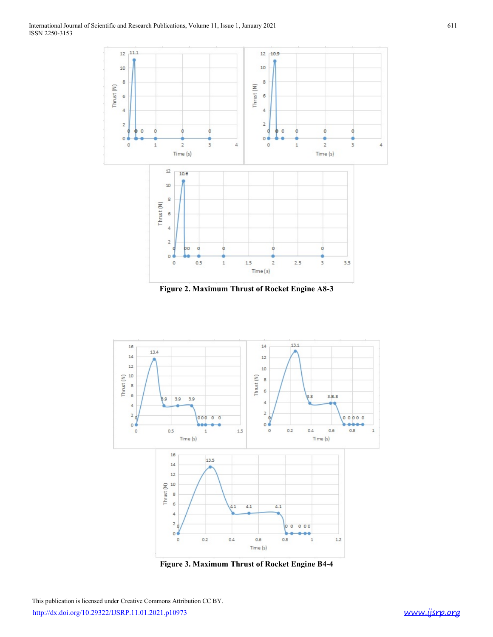

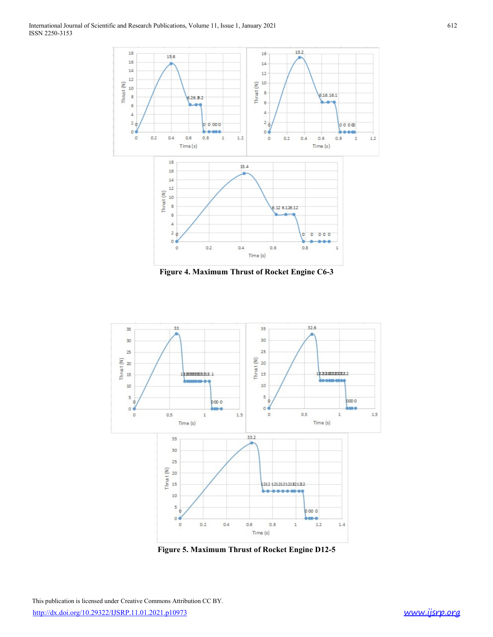

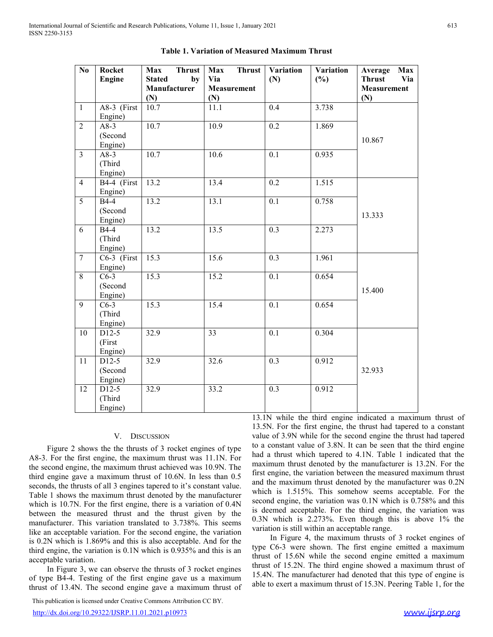|                |                                                     | International Journal of Scientific and Research Publications, Volume 11, Issue 1, January 2021 | <b>Table 1. Variation of Measured Maximum Thrust</b> |               |                  |                         |                                                           |
|----------------|-----------------------------------------------------|-------------------------------------------------------------------------------------------------|------------------------------------------------------|---------------|------------------|-------------------------|-----------------------------------------------------------|
| No.            | Rocket<br>Engine                                    | <b>Max</b><br>Thrust<br><b>Stated</b><br>Manufacturer<br>(N)                                    | Max<br>Via<br>by<br><b>Measurement</b><br>(N)        | <b>Thrust</b> | Variation<br>(N) | <b>Variation</b><br>(%) | Average Max<br>Via<br><b>Thrust</b><br><b>Measurement</b> |
|                | $A8-3$ (First                                       | 10.7                                                                                            | 11.1                                                 |               | 0.4              | 3.738                   | (N)                                                       |
| 2              | Engine)<br>$A8-3$<br>(Second                        | 10.7                                                                                            | 10.9                                                 |               | 0.2              | 1.869                   | 10.867                                                    |
| 3              | Engine)<br>$A8-3$<br>(Third)<br>Engine)             | 10.7                                                                                            | 10.6                                                 |               | 0.1              | 0.935                   |                                                           |
| $\overline{4}$ | B4-4 (First                                         | 13.2                                                                                            | 13.4                                                 |               | 0.2              | 1.515                   |                                                           |
| 5              | Engine)<br><b>B4-4</b><br>(Second                   | 13.2                                                                                            | 13.1                                                 |               | 0.1              | 0.758                   | 13.333                                                    |
| 6              | Engine)<br><b>B4-4</b><br>(Third<br>Engine)         | 13.2                                                                                            | 13.5                                                 |               | 0.3              | 2.273                   |                                                           |
| $\tau$         | $C6-3$ (First                                       | 15.3                                                                                            | 15.6                                                 |               | 0.3              | 1.961                   |                                                           |
| 8              | Engine)<br>$C6-3$<br>(Second                        | 15.3                                                                                            | 15.2                                                 |               | 0.1              | 0.654                   | 15.400                                                    |
| 9              | Engine)<br>$C6-3$<br>(Third                         | 15.3                                                                                            | 15.4                                                 |               | 0.1              | 0.654                   |                                                           |
| 10             | Engine)<br>D <sub>12</sub> -5<br>(First)<br>Engine) | 32.9                                                                                            | 33                                                   |               | 0.1              | 0.304                   |                                                           |
| 11             | D <sub>12</sub> -5<br>(Second                       | 32.9                                                                                            | 32.6                                                 |               | 0.3              | 0.912                   | 32.933                                                    |
| 12             | Engine)<br>D <sub>12</sub> -5<br>(Third<br>Engine)  | 32.9                                                                                            | 33.2                                                 |               | 0.3              | 0.912                   |                                                           |

|  | Table 1. Variation of Measured Maximum Thrust |  |
|--|-----------------------------------------------|--|
|  |                                               |  |

11 D12.5 32.9 32.6 0.3 0.91<br>
11 D12.5 32.9 32.6 0.3 0.91<br>
[Second<br>
12 D12.5 32.9 33.2 0.3 0.91<br>
12 D12.5 32.9 33.2 0.3 0.91<br>
12 D12.5 32.9 33.2 0.3 0.91<br>
13.1N while the third<br>
13.7N For the first engine, the maximum thru

http://dx.doi.org/10.29322/IJSRP.11.01.2021.p10973 www.ijsrp.org

This and the three is a variation of 13. IN while the third expire indicated a maximum thrust of  $13.4\%$ . To the first engine, the maximum thrust of 13.9% to the first engine of the three states of 3 wells and the three **Example 1988**<br>
The phase of the variation is 0.12 and 10.32 and 10.932<br>
The minimum control of Second<br>
The variation is 12.933<br>
The variation is 12.933<br>
The variation is 12.933<br>
The variation is 11.1N while the third eng 11 D12-3<br> **Example 10.3** 3.2.9<br> **Example 10.3** 3.2.9<br> **Example 10.3** 3.3.2<br> **Example 10.3** 3.3.2<br> **Example 10.3** 3.3.2<br> **Example 10.3** 3.3.2<br> **Example 10.3** 3.3.2<br> **Example 10.3** 3.3.2<br> **Example 10.3** 13.3.N. For the firs **Example 19**<br> **Example 19**<br> **Example 19**<br> **Example 19**<br> **Example 19**<br> **Example 19**<br> **Example 19**<br> **Example 19**<br> **Example 19**<br> **Example 19**<br> **Example 19**<br> **Example 19**<br> **Example 19**<br> **Example 19**<br> **Example 19**<br> **Example 19 Example 12.43**<br>
13.12 (Things)<br>
13.52 (The Separabuse of 13.52)<br>
13.72 (The second engine gave a maximum thrust of 13.5N. For the first engine, the thrust had topered to a constant<br>
13.7N. For the first engine, the maxim 0.1 0.654 15.400 1<br>
15.400 0.1 0.654 15.400 1<br>
0.1 0.654 15.400 1<br>
16.40 1<br>
16.40 1<br>
16.7 1 0.304 3<br>
16.3 0.912 32.933 3<br>
16.3 0.912 32.933 1<br>
16.3. For the first engine, the thrust had tapered to a constant<br>
value of 3.9 15.400<br>
0.1 0.654<br>
15.400<br>
10.1 0.504<br>
16.3 0.912<br>
16.3 0.912<br>
16.3 0.912<br>
16.3 0.912<br>
16.3 0.912<br>
16.3 0.912<br>
16.3 0.912<br>
16.3 0.912<br>
17.1 while the third engine, the thrust had tapered to a constant<br>
13.5N. For the firs 1.3.400<br>
0.1 0.654<br>
0.1 0.304<br>
0.3 0.912<br>
1.3.903<br>
0.3 0.912<br>
1.3.2033<br>
1.3.1N while the third engine indicated a maximum thrust of<br>
13.5N. For the first engine, the thrust had tapered to a constant<br>
10.4 of 3.9N while fo 0.1 0.654 0.3 0.912 0.33 0.912 32.933 3<br>0.3 0.912 32.933 3<br>0.3 0.912 32.933 1<br>0.3 0.912 32.933 1<br>0.3 0.912 1<br>13.1N while the third engine indicated a maximum thrust of<br>13.5N. For the first engine, the thrust had tapered t 0.1 0.304 0.304 0.304 0.304 0.304 0.304 0.304 0.304 0.304 0.912 32.933 0.3 0.912 32.933 0.3 0.912 32.933 0.3 0.912 32.933 0.3 0.912 1.1  $\lambda$  while the first engine, the thrust had tapered to a constant value of 3.9N while 0.1 0.304 0.304 0.304 0.304 0.304 0.304 0.304 0.304 0.912 32.933 0.3 0.912 32.933 0.3 0.912 32.933 0.3 0.912 13. IN while the third engine indicated a maximum thrust of 13.5N. For the first engine, the thrust had tapered 0.304 0.304 0.304 0.304 0.304 0.304 0.304 0.912 32.933 0.912 32.933 0.33 0.912 32.933 0.33 0.912 1.1.1. The maximum thrust of 1. For the first engine, the thrust had tapered to a constant of 3  $\frac{1}{2}$  thrust which taper 0.3 0.912 32.933<br>3.933 0.3 0.912 32.933 3<br>3.933 0.3 0.912 32.933 3<br>3.1N while the third engine indicated a maximum thrust of<br>13.5N. For the first engine, the thrust had tapered to a constant<br>value of 3.9N while for the se 0.3 0.912 32.933<br>32.933 32.933 32.933 32.933 32.933 32.933 32.933 0.912 32.933 32.933 0.912 13.5N. For the first engine, the thrust had tapered to a constant value of 3.9N while for the second engine the thrust had tapere thrust of 15.2N. The third engine showed a maximum thrust of 32.933<br>
0.3 0.912 32.933<br>
13.1N while the third engine indicated a maximum thrust of<br>
13.5N. For the first engine, the thrust had tapered to a constant<br>
value of 3.9N while for the second engine the thrust had tapered<br>
to 0.3 0.912 0.912 0.912 0.912 0.912 0.912 0.912 0.912 0.912 0.912 0.912 0.912 13.5N. For the first engine, the thrust had tapered to a constant 12.5N. For the first engine, the thrust had tapered to a constant value of 3.8N